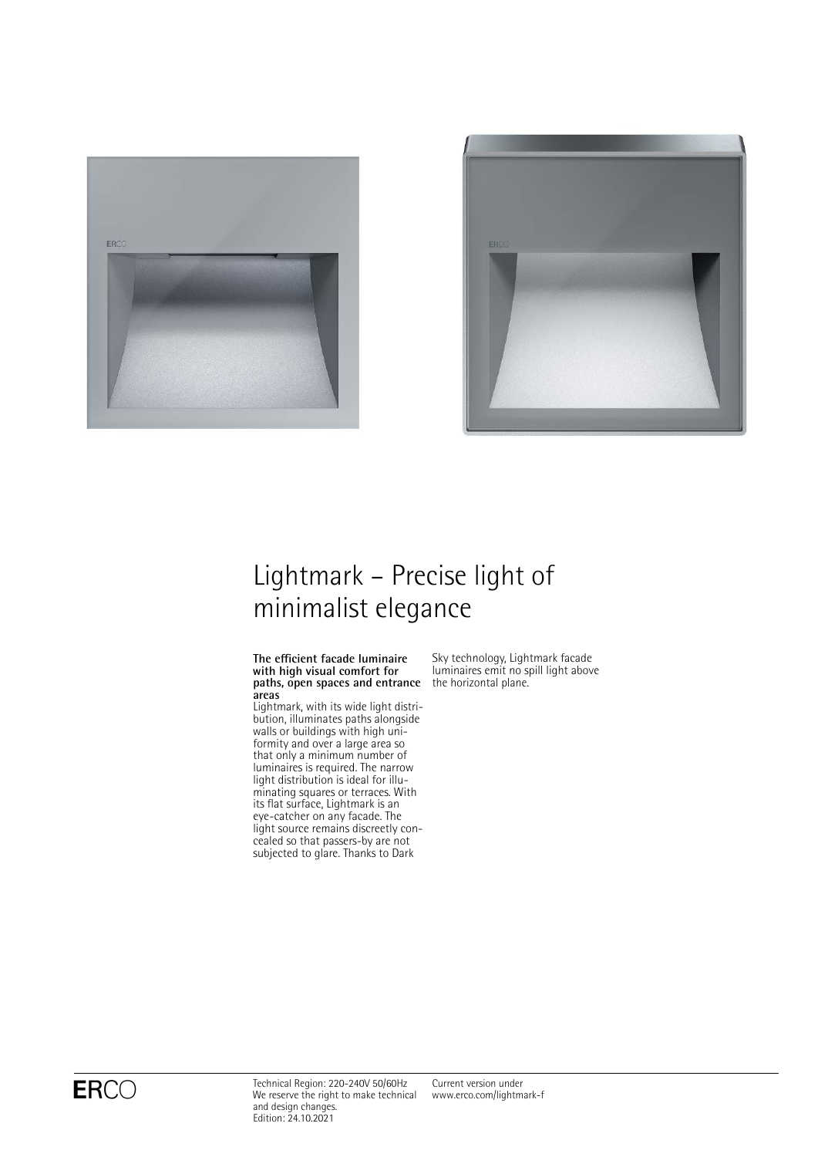



# Lightmark – Precise light of minimalist elegance

#### **The efficient facade luminaire with high visual comfort for paths, open spaces and entrance** the horizontal plane. **areas**

Lightmark, with its wide light distribution, illuminates paths alongside walls or buildings with high uniformity and over a large area so that only a minimum number of luminaires is required. The narrow light distribution is ideal for illuminating squares or terraces. With its flat surface, Lightmark is an eye-catcher on any facade. The light source remains discreetly concealed so that passers-by are not subjected to glare. Thanks to Dark

Sky technology, Lightmark facade luminaires emit no spill light above

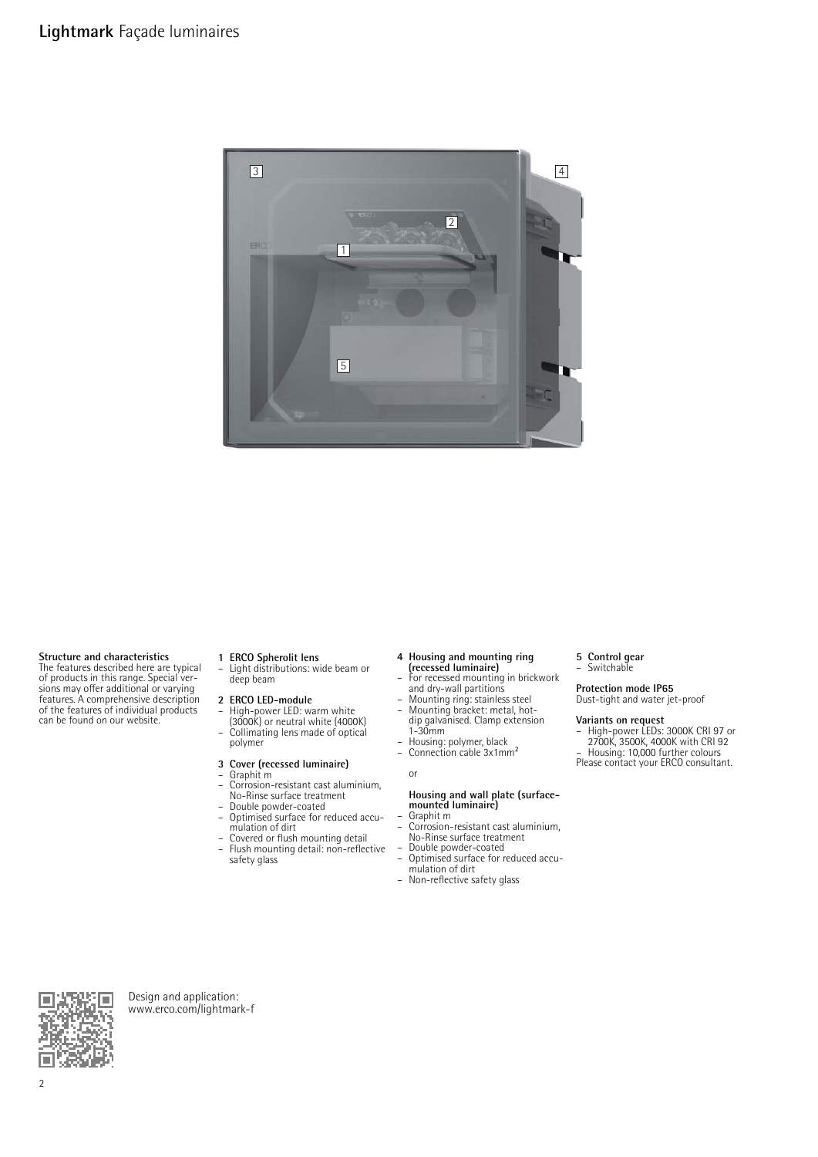

#### **Structure and characteristics**

The features described here are typical of products in this range. Special ver-sions may offer additional or varying features. A comprehensive description of the features of individual products can be found on our website.

**1 ERCO Spherolit lens** – Light distributions: wide beam or deep beam

### **2 ERCO LED-module**

- High-power LED: warm white (3000K) or neutral white (4000K) – Collimating lens made of optical
- polymer

### **3 Cover (recessed luminaire)** – Graphit m

- 
- Corrosion-resistant cast aluminium,
- No-Rinse surface treatment Double powder-coated
- Optimised surface for reduced accumulation of dirt – Covered or flush mounting detail
- Flush mounting detail: non-reflective safety glass
- **4 Housing and mounting ring (recessed luminaire)**
- For recessed mounting in brickwork
- and dry-wall partitions Mounting ring: stainless steel Mounting bracket: metal, hot-dip galvanised. Clamp extension
- 1-30mm
- 
- Housing: polymer, black Connection cable 3x1mm²

### or

# **Housing and wall plate (surface-mounted luminaire)**

- Graphit m
- Corrosion-resistant cast aluminium, No-Rinse surface treatment
- Double powder-coated
- Optimised surface for reduced accu-mulation of dirt
- Non-reflective safety glass

# **5 Control gear** – Switchable

# **Protection mode IP65** Dust-tight and water jet-proof

**Variants on request<br>
– High-power LEDs: 3000K CRI 97 or<br>
2700K, 3500K, 4000K with CRI 92<br>
– Housing: 10,000 further colours<br>Please contact your ERCO consultant.** 



Design and application: [www.erco.com/lightmark-f](http://www.erco.com/lightmark-f)

2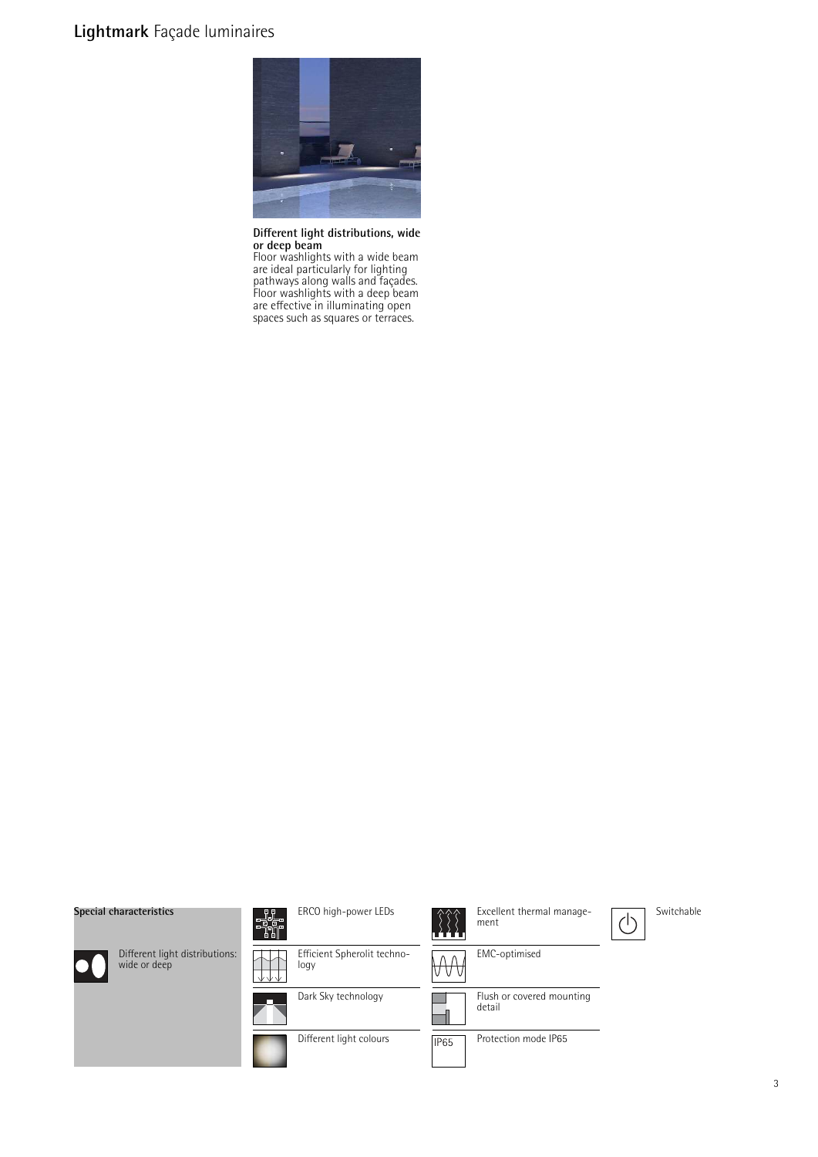### **Lightmark** Façade luminaires



**Different light distributions, wide or deep beam**

Floor washlights with a wide beam are ideal particularly for lighting pathways along walls and façades. Floor washlights with a deep beam are effective in illuminating open spaces such as squares or terraces.

#### **Special characteristics**



Different light distributions: wide or deep



Dark Sky technology



Excellent thermal manage- $\left(\cdot\right)$ ment EMC-optimised  ${\sf\mathcal{W}}{\sf\mathcal{W}}$ J Flush or covered mounting detail  $\overline{\phantom{0}}$ 



**IP65** 

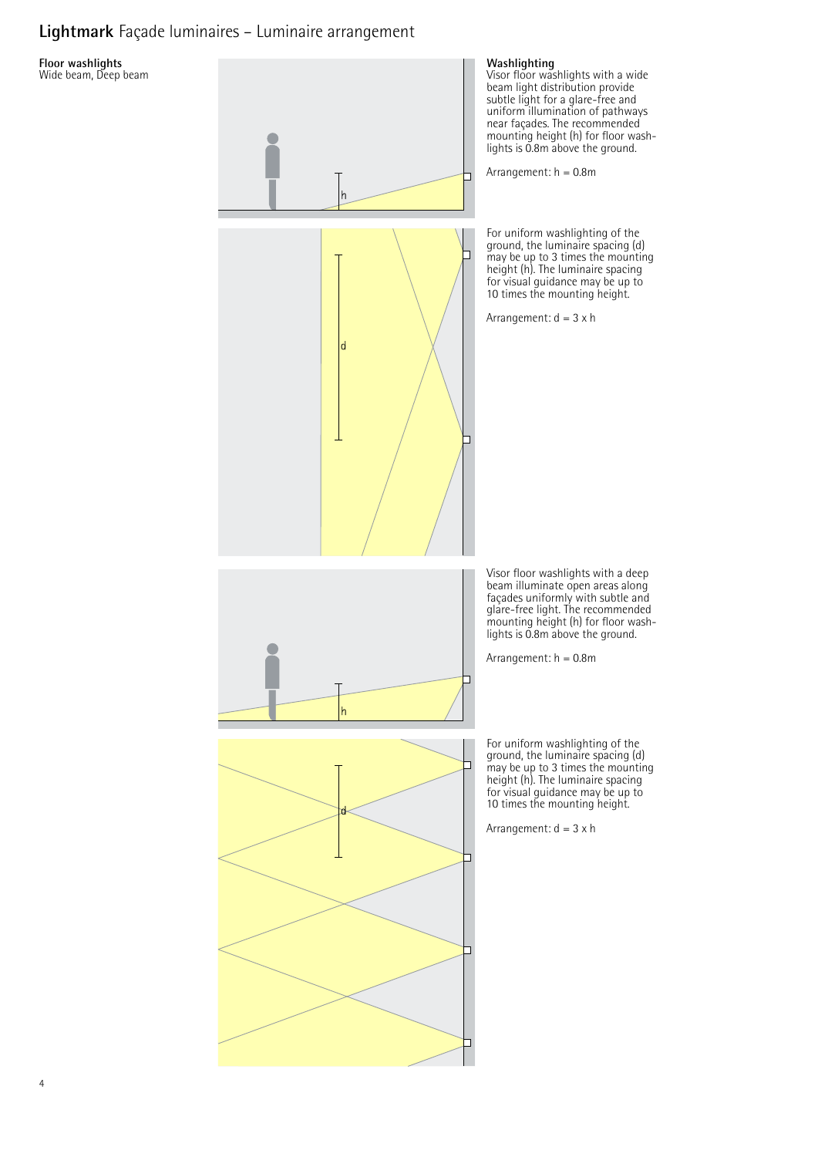### **Lightmark** Façade luminaires – Luminaire arrangement

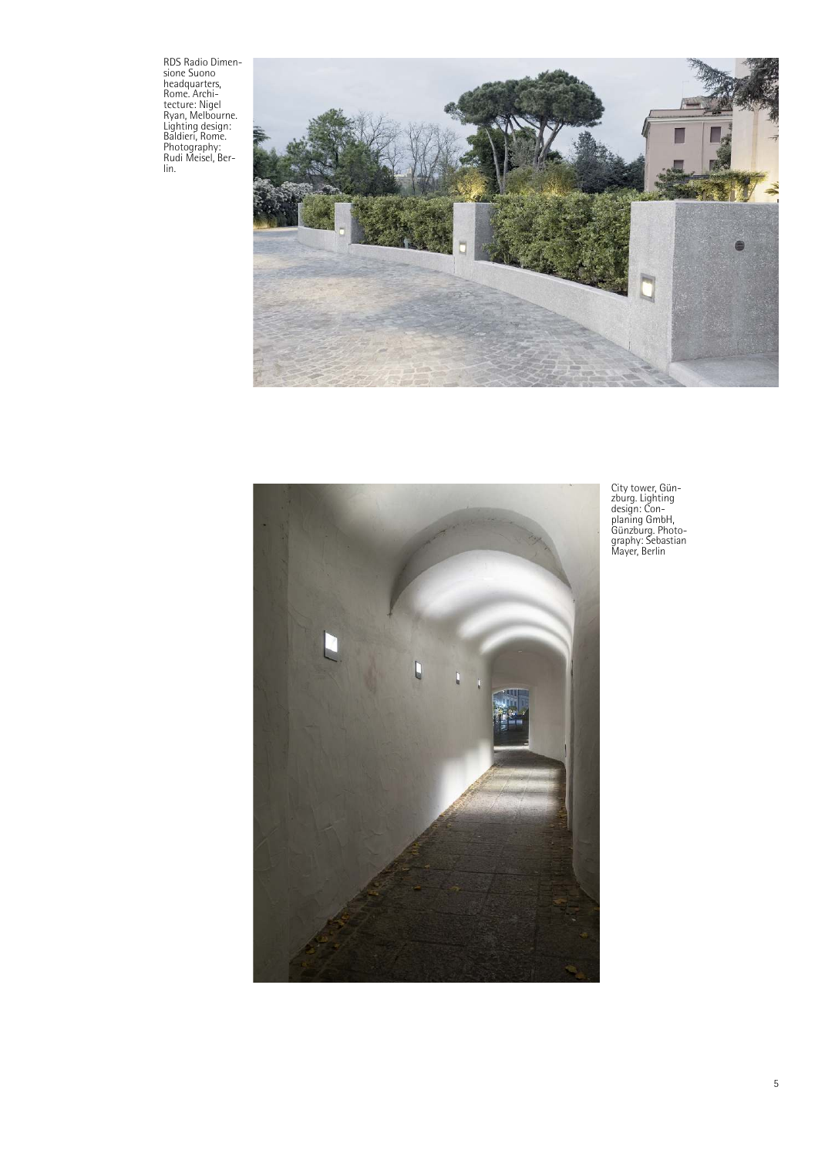RDS Radio Dimen-sione Suono headquarters, Rome. Archi-tecture: Nigel Ryan, Melbourne. Lighting design: Baldieri, Rome. Photography: Rudi Meisel, Ber-lin.





City tower, Gün-zburg. Lighting design: Con-planing GmbH, Günzburg. Photo-graphy: Sebastian Mayer, Berlin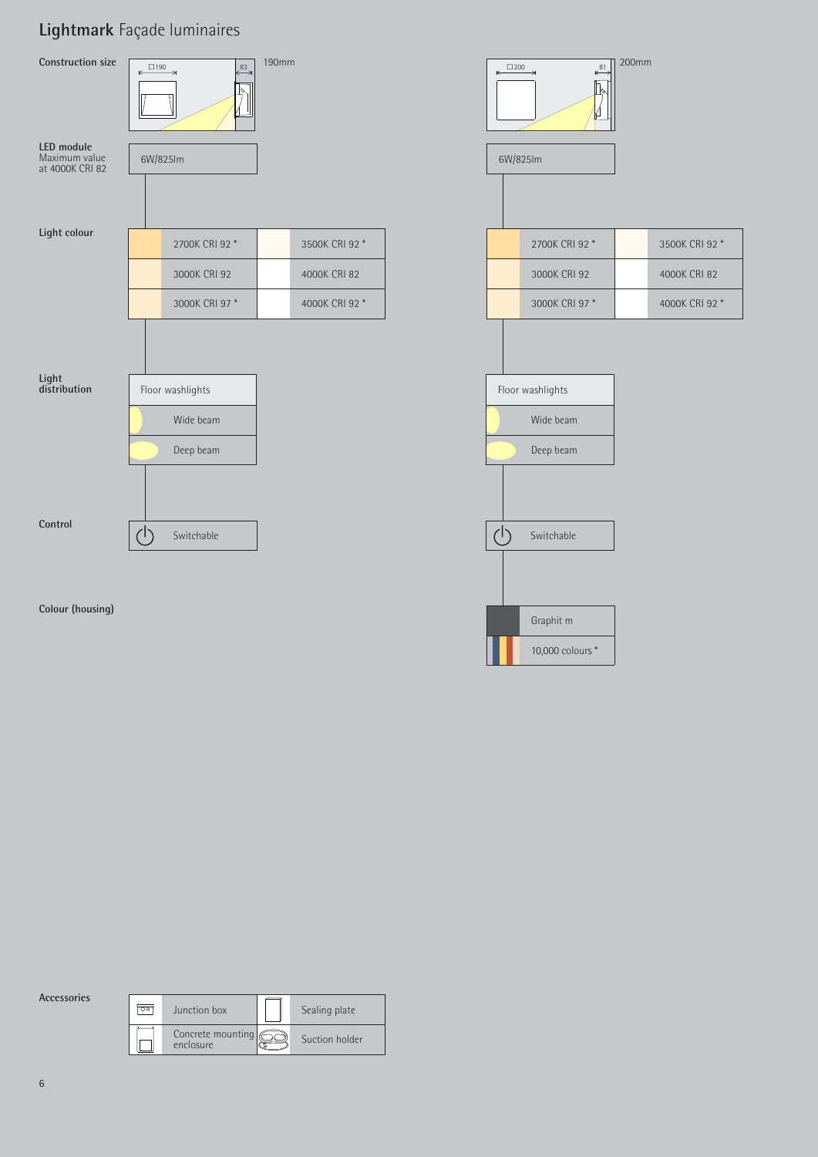## **Lightmark** Façade luminaires



**Accessories**

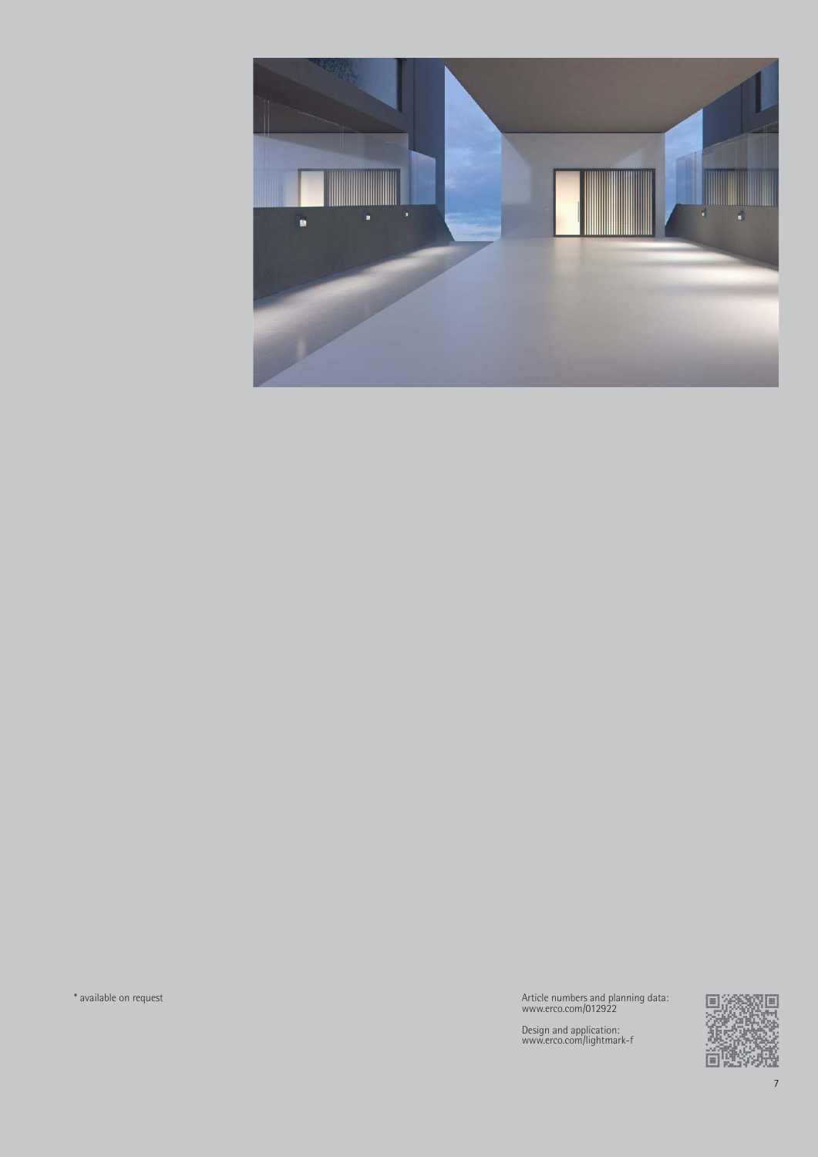

\* available on request Article numbers and planning data: www.erco.com/012922

Design and application: www.erco.com/lightmark-f